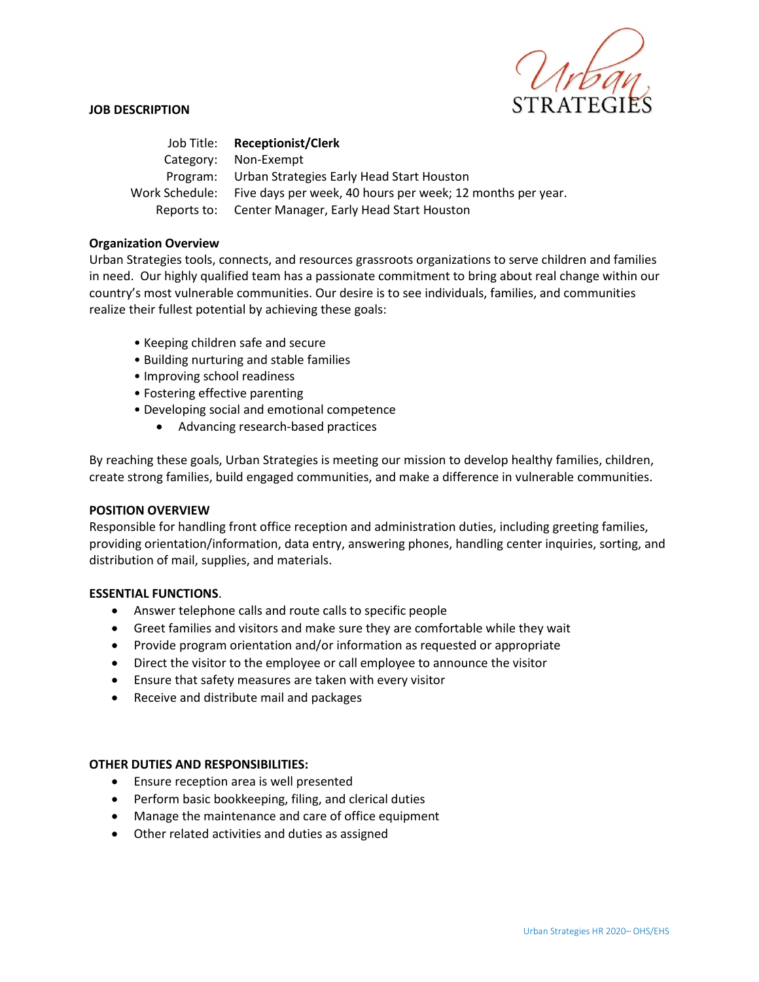

### **JOB DESCRIPTION**

Job Title: **Receptionist/Clerk** Category: Non-Exempt Program: Urban Strategies Early Head Start Houston Work Schedule: Five days per week, 40 hours per week; 12 months per year. Reports to: Center Manager, Early Head Start Houston

### **Organization Overview**

Urban Strategies tools, connects, and resources grassroots organizations to serve children and families in need. Our highly qualified team has a passionate commitment to bring about real change within our country's most vulnerable communities. Our desire is to see individuals, families, and communities realize their fullest potential by achieving these goals:

- Keeping children safe and secure
- Building nurturing and stable families
- Improving school readiness
- Fostering effective parenting
- Developing social and emotional competence
	- Advancing research-based practices

By reaching these goals, Urban Strategies is meeting our mission to develop healthy families, children, create strong families, build engaged communities, and make a difference in vulnerable communities.

### **POSITION OVERVIEW**

Responsible for handling front office reception and administration duties, including greeting families, providing orientation/information, data entry, answering phones, handling center inquiries, sorting, and distribution of mail, supplies, and materials.

### **ESSENTIAL FUNCTIONS**.

- Answer telephone calls and route calls to specific people
- Greet families and visitors and make sure they are comfortable while they wait
- Provide program orientation and/or information as requested or appropriate
- Direct the visitor to the employee or call employee to announce the visitor
- Ensure that safety measures are taken with every visitor
- Receive and distribute mail and packages

## **OTHER DUTIES AND RESPONSIBILITIES:**

- Ensure reception area is well presented
- Perform basic bookkeeping, filing, and clerical duties
- Manage the maintenance and care of office equipment
- Other related activities and duties as assigned